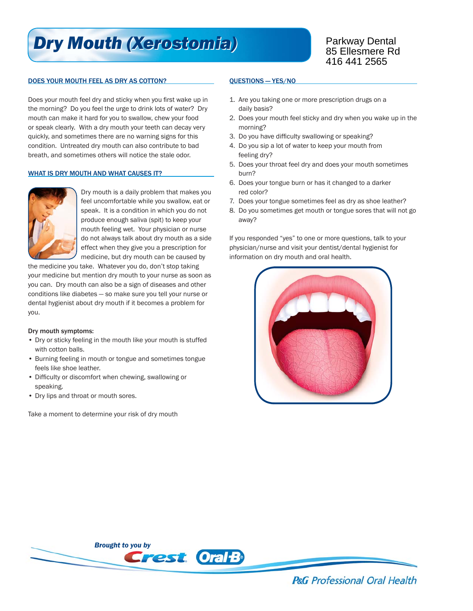# *Dry Mouth (Xerostomia) Dry Mouth (Xerostomia)*

## DOES YOUR MOUTH FEEL AS DRY AS COTTON?

Does your mouth feel dry and sticky when you first wake up in the morning? Do you feel the urge to drink lots of water? Dry mouth can make it hard for you to swallow, chew your food or speak clearly. With a dry mouth your teeth can decay very quickly, and sometimes there are no warning signs for this condition. Untreated dry mouth can also contribute to bad breath, and sometimes others will notice the stale odor.

### WHAT IS DRY MOUTH AND WHAT CAUSES IT?



Dry mouth is a daily problem that makes you feel uncomfortable while you swallow, eat or speak. It is a condition in which you do not produce enough saliva (spit) to keep your mouth feeling wet. Your physician or nurse do not always talk about dry mouth as a side effect when they give you a prescription for medicine, but dry mouth can be caused by

the medicine you take. Whatever you do, don't stop taking your medicine but mention dry mouth to your nurse as soon as you can. Dry mouth can also be a sign of diseases and other conditions like diabetes — so make sure you tell your nurse or dental hygienist about dry mouth if it becomes a problem for you.

### Dry mouth symptoms:

- Dry or sticky feeling in the mouth like your mouth is stuffed with cotton balls.
- Burning feeling in mouth or tongue and sometimes tongue feels like shoe leather.
- Difficulty or discomfort when chewing, swallowing or speaking.
- Dry lips and throat or mouth sores.

Take a moment to determine your risk of dry mouth

#### QUESTIONS — YES/NO

- 1. Are you taking one or more prescription drugs on a daily basis?
- 2. Does your mouth feel sticky and dry when you wake up in the morning?
- 3. Do you have difficulty swallowing or speaking?
- 4. Do you sip a lot of water to keep your mouth from feeling dry?
- 5. Does your throat feel dry and does your mouth sometimes burn?
- 6. Does your tongue burn or has it changed to a darker red color?
- 7. Does your tongue sometimes feel as dry as shoe leather?
- 8. Do you sometimes get mouth or tongue sores that will not go away?

If you responded "yes" to one or more questions, talk to your physician/nurse and visit your dentist/dental hygienist for information on dry mouth and oral health.





**P&G** Professional Oral Health